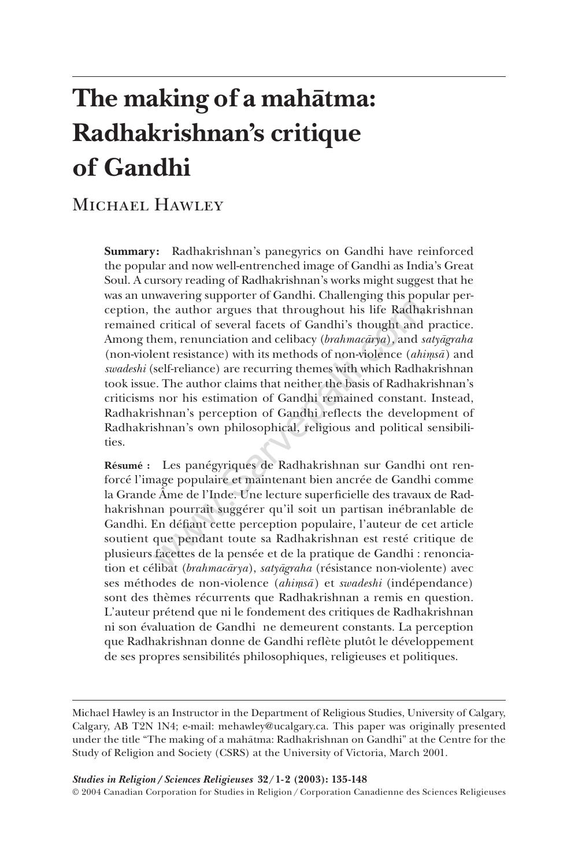# The making of a mahatma: **Radhakrishnan's critique of Gandhi**

# MICHAEL HAWLEY

**Summary:** Radhakrishnan's panegyrics on Gandhi have reinforced the popular and now well-entrenched image of Gandhi as India's Great Soul. A cursory reading of Radhakrishnan's works might suggest that he was an unwavering supporter of Gandhi. Challenging this popular perception, the author argues that throughout his life Radhakrishnan remained critical of several facets of Gandhi's thought and practice. Among them, renunciation and celibacy (*brahmacārya*), and *satyāgraha* (non-violent resistance) with its methods of non-violence (*ahimsa*) and *swadeshi* (self-reliance) are recurring themes with which Radhakrishnan took issue. The author claims that neither the basis of Radhakrishnan's criticisms nor his estimation of Gandhi remained constant. Instead, Radhakrishnan's perception of Gandhi reflects the development of Radhakrishnan's own philosophical, religious and political sensibilities. the author argues that throughout his life Radha<br>I critical of several facets of Gandhi's thought and<br>I critical of several facets of Gandhi's thought and<br>ent resistance) with its methods of non-violence (*ahi*<br>self-relia

**Résumé :** Les panégyriques de Radhakrishnan sur Gandhi ont renforcé l'image populaire et maintenant bien ancrée de Gandhi comme la Grande Âme de l'Inde. Une lecture superficielle des travaux de Radhakrishnan pourrait suggérer qu'il soit un partisan inébranlable de Gandhi. En défiant cette perception populaire, l'auteur de cet article soutient que pendant toute sa Radhakrishnan est resté critique de plusieurs facettes de la pensée et de la pratique de Gandhi : renonciation et célibat (*brahmacārya*), *satyāgraha* (résistance non-violente) avec ses méthodes de non-violence (*ahimsa*̄) et *swadeshi* (indépendance) sont des thèmes récurrents que Radhakrishnan a remis en question. L'auteur prétend que ni le fondement des critiques de Radhakrishnan ni son évaluation de Gandhi ne demeurent constants. La perception que Radhakrishnan donne de Gandhi reflète plutôt le développement de ses propres sensibilités philosophiques, religieuses et politiques.

Michael Hawley is an Instructor in the Department of Religious Studies, University of Calgary, Calgary, AB T2N 1N4; e-mail: mehawley@ucalgary.ca. This paper was originally presented under the title "The making of a mahātma: Radhakrishnan on Gandhi" at the Centre for the Study of Religion and Society (CSRS) at the University of Victoria, March 2001.

*Studies in Religion / Sciences Religieuses* **32/1-2 (2003): 135-148**

© 2004 Canadian Corporation for Studies in Religion/Corporation Canadienne des Sciences Religieuses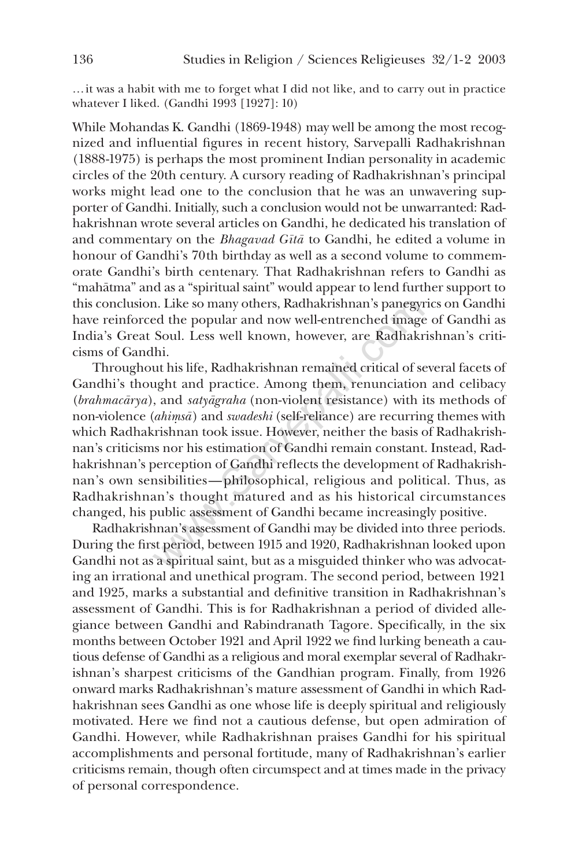…it was a habit with me to forget what I did not like, and to carry out in practice whatever I liked. (Gandhi 1993 [1927]: 10)

While Mohandas K. Gandhi (1869-1948) may well be among the most recognized and influential figures in recent history, Sarvepalli Radhakrishnan (1888-1975) is perhaps the most prominent Indian personality in academic circles of the 20th century. A cursory reading of Radhakrishnan's principal works might lead one to the conclusion that he was an unwavering supporter of Gandhi. Initially, such a conclusion would not be unwarranted: Radhakrishnan wrote several articles on Gandhi, he dedicated his translation of and commentary on the *Bhagavad Gītā* to Gandhi, he edited a volume in honour of Gandhi's 70th birthday as well as a second volume to commemorate Gandhi's birth centenary. That Radhakrishnan refers to Gandhi as "mahātma" and as a "spiritual saint" would appear to lend further support to this conclusion. Like so many others, Radhakrishnan's panegyrics on Gandhi have reinforced the popular and now well-entrenched image of Gandhi as India's Great Soul. Less well known, however, are Radhakrishnan's criticisms of Gandhi.

Throughout his life, Radhakrishnan remained critical of several facets of Gandhi's thought and practice. Among them, renunciation and celibacy (*brahmacārya*), and *satyāgraha* (non-violent resistance) with its methods of non-violence (*ahimsa*) and *swadeshi* (self-reliance) are recurring themes with which Radhakrishnan took issue. However, neither the basis of Radhakrishnan's criticisms nor his estimation of Gandhi remain constant. Instead, Radhakrishnan's perception of Gandhi reflects the development of Radhakrishnan's own sensibilities—philosophical, religious and political. Thus, as Radhakrishnan's thought matured and as his historical circumstances changed, his public assessment of Gandhi became increasingly positive. n. Like so many others, Radhakrishnan's panegyr<br>ed the popular and now well-entrenched image<br>Soul. Less well known, however, are Radhakr<br>lhi.<br>ut his life, Radhakrishnan remained critical of se<br>ught and practice. Among them

Radhakrishnan's assessment of Gandhi may be divided into three periods. During the first period, between 1915 and 1920, Radhakrishnan looked upon Gandhi not as a spiritual saint, but as a misguided thinker who was advocating an irrational and unethical program. The second period, between 1921 and 1925, marks a substantial and definitive transition in Radhakrishnan's assessment of Gandhi. This is for Radhakrishnan a period of divided allegiance between Gandhi and Rabindranath Tagore. Specifically, in the six months between October 1921 and April 1922 we find lurking beneath a cautious defense of Gandhi as a religious and moral exemplar several of Radhakrishnan's sharpest criticisms of the Gandhian program. Finally, from 1926 onward marks Radhakrishnan's mature assessment of Gandhi in which Radhakrishnan sees Gandhi as one whose life is deeply spiritual and religiously motivated. Here we find not a cautious defense, but open admiration of Gandhi. However, while Radhakrishnan praises Gandhi for his spiritual accomplishments and personal fortitude, many of Radhakrishnan's earlier criticisms remain, though often circumspect and at times made in the privacy of personal correspondence.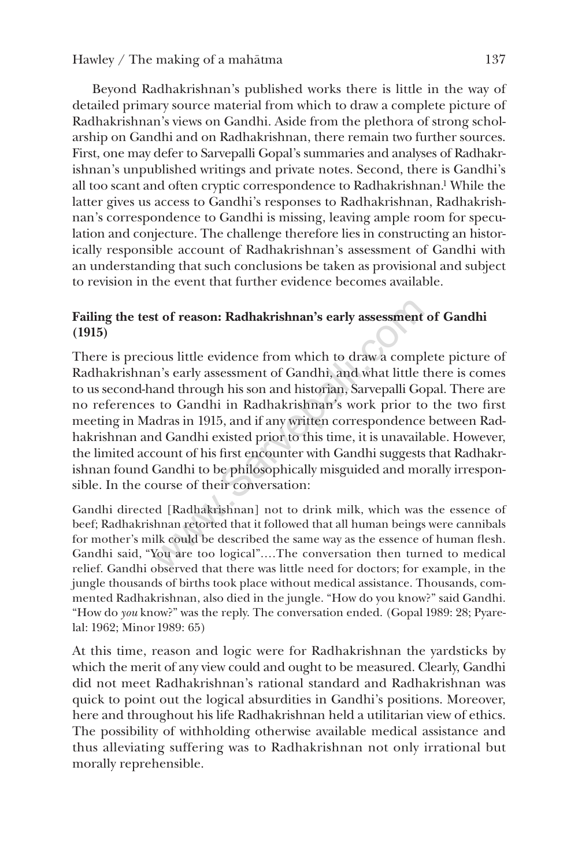Beyond Radhakrishnan's published works there is little in the way of detailed primary source material from which to draw a complete picture of Radhakrishnan's views on Gandhi. Aside from the plethora of strong scholarship on Gandhi and on Radhakrishnan, there remain two further sources. First, one may defer to Sarvepalli Gopal's summaries and analyses of Radhakrishnan's unpublished writings and private notes. Second, there is Gandhi's all too scant and often cryptic correspondence to Radhakrishnan.1 While the latter gives us access to Gandhi's responses to Radhakrishnan, Radhakrishnan's correspondence to Gandhi is missing, leaving ample room for speculation and conjecture. The challenge therefore lies in constructing an historically responsible account of Radhakrishnan's assessment of Gandhi with an understanding that such conclusions be taken as provisional and subject to revision in the event that further evidence becomes available.

# **Failing the test of reason: Radhakrishnan's early assessment of Gandhi (1915)**

There is precious little evidence from which to draw a complete picture of Radhakrishnan's early assessment of Gandhi, and what little there is comes to us second-hand through his son and historian, Sarvepalli Gopal. There are no references to Gandhi in Radhakrishnan's work prior to the two first meeting in Madras in 1915, and if any written correspondence between Radhakrishnan and Gandhi existed prior to this time, it is unavailable. However, the limited account of his first encounter with Gandhi suggests that Radhakrishnan found Gandhi to be philosophically misguided and morally irresponsible. In the course of their conversation: is to f reason: Radhakrishnan's early assessment<br>cous little evidence from which to draw a completed in the evidence from which to draw a completed in Searly assessment of Gandhi, and what little t<br>and through his son and

Gandhi directed [Radhakrishnan] not to drink milk, which was the essence of beef; Radhakrishnan retorted that it followed that all human beings were cannibals for mother's milk could be described the same way as the essence of human flesh. Gandhi said, "You are too logical".…The conversation then turned to medical relief. Gandhi observed that there was little need for doctors; for example, in the jungle thousands of births took place without medical assistance. Thousands, commented Radhakrishnan, also died in the jungle. "How do you know?" said Gandhi. "How do *you* know?" was the reply. The conversation ended. (Gopal 1989: 28; Pyarelal: 1962; Minor1989: 65)

At this time, reason and logic were for Radhakrishnan the yardsticks by which the merit of any view could and ought to be measured. Clearly, Gandhi did not meet Radhakrishnan's rational standard and Radhakrishnan was quick to point out the logical absurdities in Gandhi's positions. Moreover, here and throughout his life Radhakrishnan held a utilitarian view of ethics. The possibility of withholding otherwise available medical assistance and thus alleviating suffering was to Radhakrishnan not only irrational but morally reprehensible.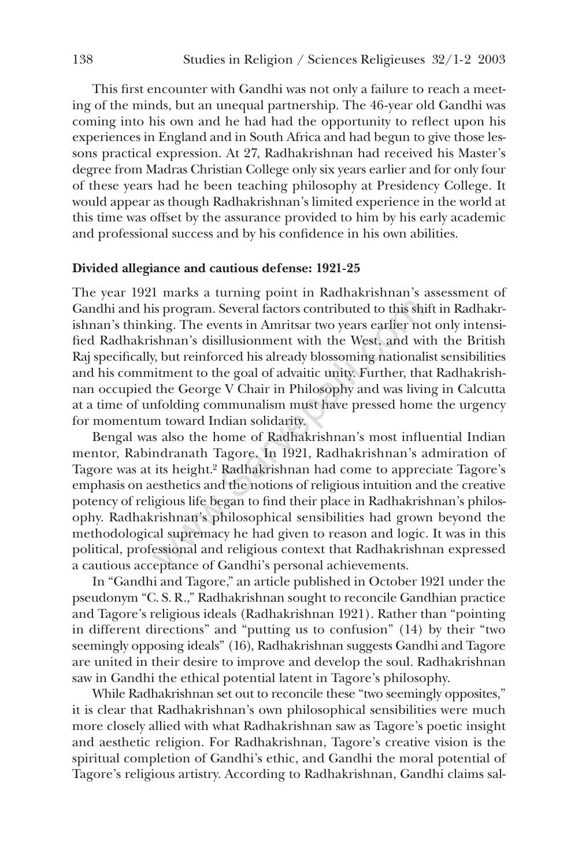This first encounter with Gandhi was not only a failure to reach a meeting of the minds, but an unequal partnership. The 46-year old Gandhi was coming into his own and he had had the opportunity to reflect upon his experiences in England and in South Africa and had begun to give those lessons practical expression. At 27, Radhakrishnan had received his Master's degree from Madras Christian College only six years earlier and for only four of these years had he been teaching philosophy at Presidency College. It would appear as though Radhakrishnan's limited experience in the world at this time was offset by the assurance provided to him by his early academic and professional success and by his confidence in his own abilities.

#### **Divided allegiance and cautious defense: 1921-25**

The year 1921 marks a turning point in Radhakrishnan's assessment of Gandhi and his program. Several factors contributed to this shift in Radhakrishnan's thinking. The events in Amritsar two years earlier not only intensified Radhakrishnan's disillusionment with the West, and with the British Raj specifically, but reinforced his already blossoming nationalist sensibilities and his commitment to the goal of advaitic unity. Further, that Radhakrishnan occupied the George V Chair in Philosophy and was living in Calcutta at a time of unfolding communalism must have pressed home the urgency for momentum toward Indian solidarity.

Bengal was also the home of Radhakrishnan's most influential Indian mentor, Rabindranath Tagore. In 1921, Radhakrishnan's admiration of Tagore was at its height.<sup>2</sup> Radhakrishnan had come to appreciate Tagore's emphasis on aesthetics and the notions of religious intuition and the creative potency of religious life began to find their place in Radhakrishnan's philosophy. Radhakrishnan's philosophical sensibilities had grown beyond the methodological supremacy he had given to reason and logic. It was in this political, professional and religious context that Radhakrishnan expressed a cautious acceptance of Gandhi's personal achievements. is program. Several factors contributed to this shing. The events in Amritsar two years earlier no shnan's disillusionment with the West, and wi, but reinforced his already blossoming national itment to the goal of advaiti

In "Gandhi and Tagore," an article published in October 1921 under the pseudonym "C. S. R.," Radhakrishnan sought to reconcile Gandhian practice and Tagore's religious ideals (Radhakrishnan 1921). Rather than "pointing in different directions" and "putting us to confusion" (14) by their "two seemingly opposing ideals" (16), Radhakrishnan suggests Gandhi and Tagore are united in their desire to improve and develop the soul. Radhakrishnan saw in Gandhi the ethical potential latent in Tagore's philosophy.

While Radhakrishnan set out to reconcile these "two seemingly opposites," it is clear that Radhakrishnan's own philosophical sensibilities were much more closely allied with what Radhakrishnan saw as Tagore's poetic insight and aesthetic religion. For Radhakrishnan, Tagore's creative vision is the spiritual completion of Gandhi's ethic, and Gandhi the moral potential of Tagore's religious artistry. According to Radhakrishnan, Gandhi claims sal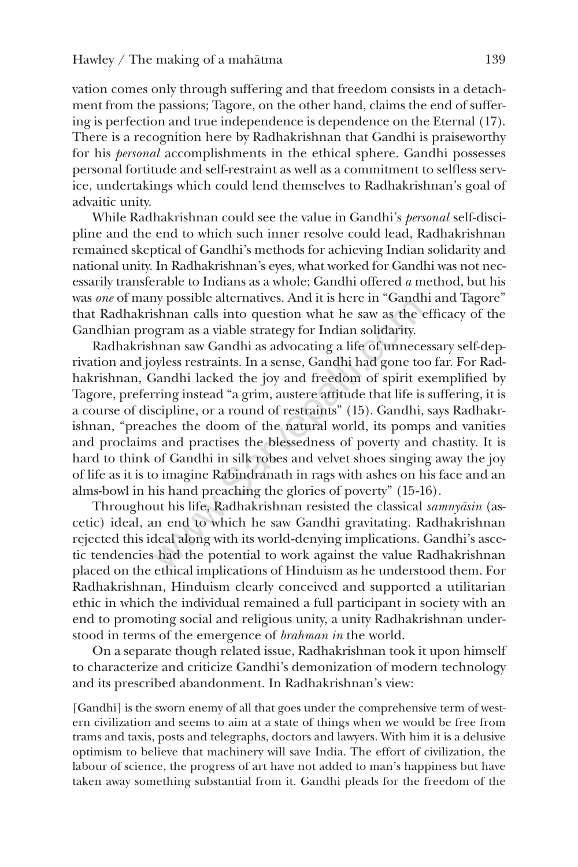vation comes only through suffering and that freedom consists in a detachment from the passions; Tagore, on the other hand, claims the end of suffering is perfection and true independence is dependence on the Eternal (17). There is a recognition here by Radhakrishnan that Gandhi is praiseworthy for his *personal* accomplishments in the ethical sphere. Gandhi possesses personal fortitude and self-restraint as well as a commitment to selfless service, undertakings which could lend themselves to Radhakrishnan's goal of advaitic unity.

While Radhakrishnan could see the value in Gandhi's *personal* self-discipline and the end to which such inner resolve could lead, Radhakrishnan remained skeptical of Gandhi's methods for achieving Indian solidarity and national unity. In Radhakrishnan's eyes, what worked for Gandhi was not necessarily transferable to Indians as a whole; Gandhi offered *a* method, but his was *one* of many possible alternatives. And it is here in "Gandhi and Tagore" that Radhakrishnan calls into question what he saw as the efficacy of the Gandhian program as a viable strategy for Indian solidarity.

Radhakrishnan saw Gandhi as advocating a life of unnecessary self-deprivation and joyless restraints. In a sense, Gandhi had gone too far. For Radhakrishnan, Gandhi lacked the joy and freedom of spirit exemplified by Tagore, preferring instead "a grim, austere attitude that life is suffering, it is a course of discipline, or a round of restraints" (15). Gandhi, says Radhakrishnan, "preaches the doom of the natural world, its pomps and vanities and proclaims and practises the blessedness of poverty and chastity. It is hard to think of Gandhi in silk robes and velvet shoes singing away the joy of life as it is to imagine Rabindranath in rags with ashes on his face and an alms-bowl in his hand preaching the glories of poverty" (15-16). If yossible alternatives. And it is here in Gandi.<br>
Shnan calls into question what he saw as the expram as a viable strategy for Indian solidarity.<br>
hnan saw Gandhi as advocating a life of unnece<br>
Sandhi lacked the joy and

Throughout his life, Radhakrishnan resisted the classical *samnyasin* (ascetic) ideal, an end to which he saw Gandhi gravitating. Radhakrishnan rejected this ideal along with its world-denying implications. Gandhi's ascetic tendencies had the potential to work against the value Radhakrishnan placed on the ethical implications of Hinduism as he understood them. For Radhakrishnan, Hinduism clearly conceived and supported a utilitarian ethic in which the individual remained a full participant in society with an end to promoting social and religious unity, a unity Radhakrishnan understood in terms of the emergence of *brahman in* the world.

On a separate though related issue, Radhakrishnan took it upon himself to characterize and criticize Gandhi's demonization of modern technology and its prescribed abandonment. In Radhakrishnan's view:

[Gandhi] is the sworn enemy of all that goes under the comprehensive term of western civilization and seems to aim at a state of things when we would be free from trams and taxis, posts and telegraphs, doctors and lawyers. With him it is a delusive optimism to believe that machinery will save India. The effort of civilization, the labour of science, the progress of art have not added to man's happiness but have taken away something substantial from it. Gandhi pleads for the freedom of the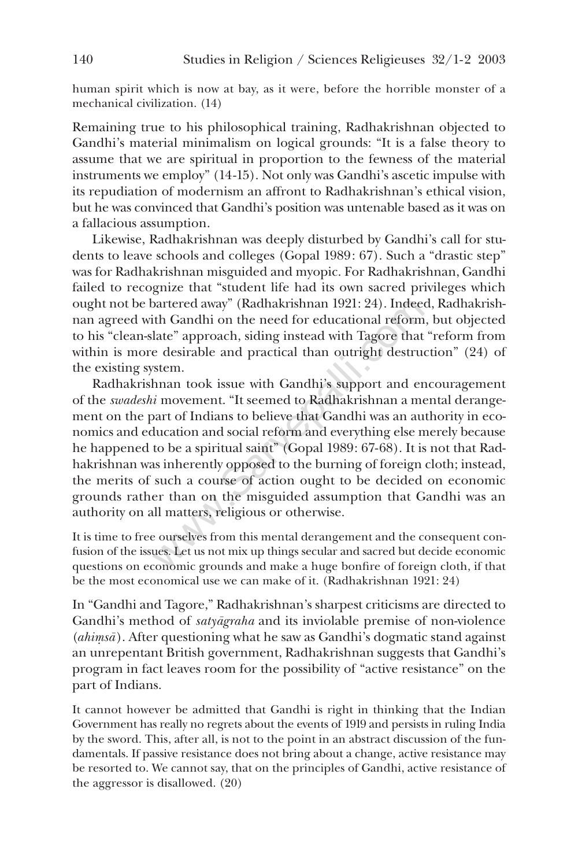human spirit which is now at bay, as it were, before the horrible monster of a mechanical civilization. (14)

Remaining true to his philosophical training, Radhakrishnan objected to Gandhi's material minimalism on logical grounds: "It is a false theory to assume that we are spiritual in proportion to the fewness of the material instruments we employ" (14-15). Not only was Gandhi's ascetic impulse with its repudiation of modernism an affront to Radhakrishnan's ethical vision, but he was convinced that Gandhi's position was untenable based as it was on a fallacious assumption.

Likewise, Radhakrishnan was deeply disturbed by Gandhi's call for students to leave schools and colleges (Gopal 1989: 67). Such a "drastic step" was for Radhakrishnan misguided and myopic. For Radhakrishnan, Gandhi failed to recognize that "student life had its own sacred privileges which ought not be bartered away" (Radhakrishnan 1921: 24). Indeed, Radhakrishnan agreed with Gandhi on the need for educational reform, but objected to his "clean-slate" approach, siding instead with Tagore that "reform from within is more desirable and practical than outright destruction" (24) of the existing system.

Radhakrishnan took issue with Gandhi's support and encouragement of the *swadeshi* movement. "It seemed to Radhakrishnan a mental derangement on the part of Indians to believe that Gandhi was an authority in economics and education and social reform and everything else merely because he happened to be a spiritual saint" (Gopal 1989: 67-68). It is not that Radhakrishnan was inherently opposed to the burning of foreign cloth; instead, the merits of such a course of action ought to be decided on economic grounds rather than on the misguided assumption that Gandhi was an authority on all matters, religious or otherwise. partered away" (Radhakrishnan 1921: 24). Indeed<br>th Gandhi on the need for educational reform<br>late" approach, siding instead with Tagore that<br>e desirable and practical than outright destrue<br>stem.<br>hnan took issue with Gandhi

It is time to free ourselves from this mental derangement and the consequent confusion of the issues. Let us not mix up things secular and sacred but decide economic questions on economic grounds and make a huge bonfire of foreign cloth, if that be the most economical use we can make of it. (Radhakrishnan 1921: 24)

In "Gandhi and Tagore," Radhakrishnan's sharpest criticisms are directed to Gandhi's method of *satyãgraha* and its inviolable premise of non-violence (*ahimsa*). After questioning what he saw as Gandhi's dogmatic stand against an unrepentant British government, Radhakrishnan suggests that Gandhi's program in fact leaves room for the possibility of "active resistance" on the part of Indians.

It cannot however be admitted that Gandhi is right in thinking that the Indian Government has really no regrets about the events of 1919 and persists in ruling India by the sword. This, after all, is not to the point in an abstract discussion of the fundamentals. If passive resistance does not bring about a change, active resistance may be resorted to. We cannot say, that on the principles of Gandhi, active resistance of the aggressor is disallowed. (20)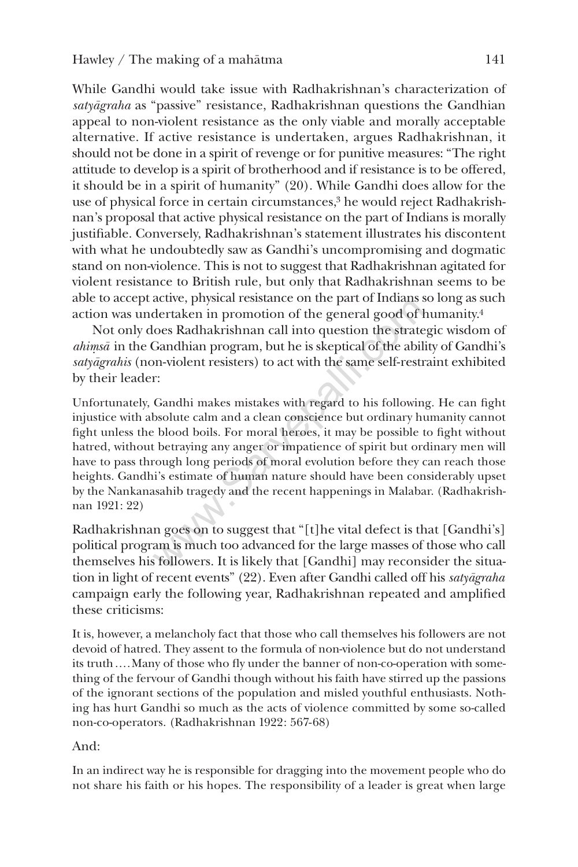While Gandhi would take issue with Radhakrishnan's characterization of satyāgraha as "passive" resistance, Radhakrishnan questions the Gandhian appeal to non-violent resistance as the only viable and morally acceptable alternative. If active resistance is undertaken, argues Radhakrishnan, it should not be done in a spirit of revenge or for punitive measures: "The right attitude to develop is a spirit of brotherhood and if resistance is to be offered, it should be in a spirit of humanity" (20). While Gandhi does allow for the use of physical force in certain circumstances,<sup>3</sup> he would reject Radhakrishnan's proposal that active physical resistance on the part of Indians is morally justifiable. Conversely, Radhakrishnan's statement illustrates his discontent with what he undoubtedly saw as Gandhi's uncompromising and dogmatic stand on non-violence. This is not to suggest that Radhakrishnan agitated for violent resistance to British rule, but only that Radhakrishnan seems to be able to accept active, physical resistance on the part of Indians so long as such action was undertaken in promotion of the general good of humanity.4

Not only does Radhakrishnan call into question the strategic wisdom of *ahimsā* in the Gandhian program, but he is skeptical of the ability of Gandhi's satyāgrahis (non-violent resisters) to act with the same self-restraint exhibited by their leader:

Unfortunately, Gandhi makes mistakes with regard to his following. He can fight injustice with absolute calm and a clean conscience but ordinary humanity cannot fight unless the blood boils. For moral heroes, it may be possible to fight without hatred, without betraying any anger or impatience of spirit but ordinary men will have to pass through long periods of moral evolution before they can reach those heights. Gandhi's estimate of human nature should have been considerably upset by the Nankanasahib tragedy and the recent happenings in Malabar. (Radhakrishnan 1921: 22) active, physical resistance on the part of multials s<br>dertaken in promotion of the general good of l<br>loes Radhakrishnan call into question the strate<br>Gandhian program, but he is skeptical of the abili<br>pn-violent resisters)

Radhakrishnan goes on to suggest that "[t]he vital defect is that [Gandhi's] political program is much too advanced for the large masses of those who call themselves his followers. It is likely that [Gandhi] may reconsider the situation in light of recent events" (22). Even after Gandhi called off his *satyagraha* campaign early the following year, Radhakrishnan repeated and amplified these criticisms:

It is, however, a melancholy fact that those who call themselves his followers are not devoid of hatred. They assent to the formula of non-violence but do not understand its truth….Many of those who fly under the banner of non-co-operation with something of the fervour of Gandhi though without his faith have stirred up the passions of the ignorant sections of the population and misled youthful enthusiasts. Nothing has hurt Gandhi so much as the acts of violence committed by some so-called non-co-operators. (Radhakrishnan 1922: 567-68)

# And:

In an indirect way he is responsible for dragging into the movement people who do not share his faith or his hopes. The responsibility of a leader is great when large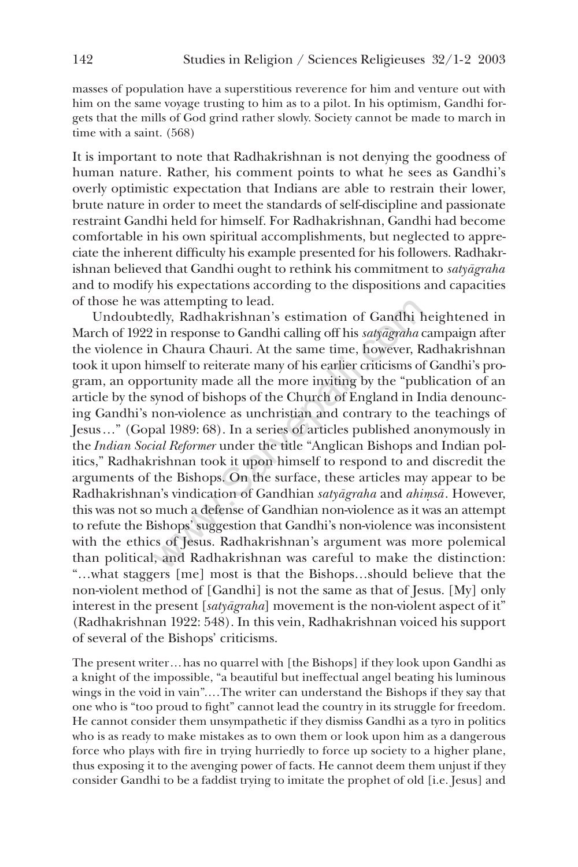masses of population have a superstitious reverence for him and venture out with him on the same voyage trusting to him as to a pilot. In his optimism, Gandhi forgets that the mills of God grind rather slowly. Society cannot be made to march in time with a saint. (568)

It is important to note that Radhakrishnan is not denying the goodness of human nature. Rather, his comment points to what he sees as Gandhi's overly optimistic expectation that Indians are able to restrain their lower, brute nature in order to meet the standards of self-discipline and passionate restraint Gandhi held for himself. For Radhakrishnan, Gandhi had become comfortable in his own spiritual accomplishments, but neglected to appreciate the inherent difficulty his example presented for his followers. Radhakrishnan believed that Gandhi ought to rethink his commitment to *satyãgraha* and to modify his expectations according to the dispositions and capacities of those he was attempting to lead.

Undoubtedly, Radhakrishnan's estimation of Gandhi heightened in March of 1922 in response to Gandhi calling off his *satyagraha* campaign after the violence in Chaura Chauri. At the same time, however, Radhakrishnan took it upon himself to reiterate many of his earlier criticisms of Gandhi's program, an opportunity made all the more inviting by the "publication of an article by the synod of bishops of the Church of England in India denouncing Gandhi's non-violence as unchristian and contrary to the teachings of Jesus…" (Gopal 1989: 68). In a series of articles published anonymously in the *Indian Social Reformer* under the title "Anglican Bishops and Indian politics," Radhakrishnan took it upon himself to respond to and discredit the arguments of the Bishops. On the surface, these articles may appear to be Radhakrishnan's vindication of Gandhian *satyāgraha* and *ahimsā*. However, this was not so much a defense of Gandhian non-violence as it was an attempt to refute the Bishops' suggestion that Gandhi's non-violence was inconsistent with the ethics of Jesus. Radhakrishnan's argument was more polemical than political, and Radhakrishnan was careful to make the distinction: "…what staggers [me] most is that the Bishops…should believe that the non-violent method of [Gandhi] is not the same as that of Jesus. [My] only interest in the present [*satyāgraha*] movement is the non-violent aspect of it" (Radhakrishnan 1922: 548). In this vein, Radhakrishnan voiced his support of several of the Bishops' criticisms. is attempting to lead.<br>
dly, Radhakrishnan's estimation of Gandhi h<br>
in response to Gandhi calling off his *satyagraha* c<br>
n Chaura Chauri. At the same time, however, R<br>
imself to reiterate many of his earlier criticisms o

The present writer…has no quarrel with [the Bishops] if they look upon Gandhi as a knight of the impossible, "a beautiful but ineffectual angel beating his luminous wings in the void in vain"….The writer can understand the Bishops if they say that one who is "too proud to fight" cannot lead the country in its struggle for freedom. He cannot consider them unsympathetic if they dismiss Gandhi as a tyro in politics who is as ready to make mistakes as to own them or look upon him as a dangerous force who plays with fire in trying hurriedly to force up society to a higher plane, thus exposing it to the avenging power of facts. He cannot deem them unjust if they consider Gandhi to be a faddist trying to imitate the prophet of old [i.e. Jesus] and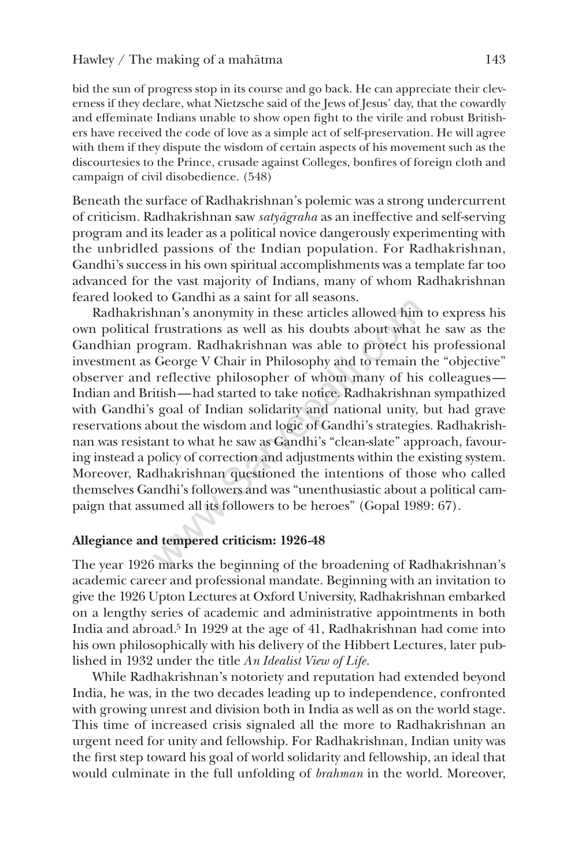bid the sun of progress stop in its course and go back. He can appreciate their cleverness if they declare, what Nietzsche said of the Jews of Jesus' day, that the cowardly and effeminate Indians unable to show open fight to the virile and robust Britishers have received the code of love as a simple act of self-preservation. He will agree with them if they dispute the wisdom of certain aspects of his movement such as the discourtesies to the Prince, crusade against Colleges, bonfires of foreign cloth and campaign of civil disobedience. (548)

Beneath the surface of Radhakrishnan's polemic was a strong undercurrent of criticism. Radhakrishnan saw *satyāgraha* as an ineffective and self-serving program and its leader as a political novice dangerously experimenting with the unbridled passions of the Indian population. For Radhakrishnan, Gandhi's success in his own spiritual accomplishments was a template far too advanced for the vast majority of Indians, many of whom Radhakrishnan feared looked to Gandhi as a saint for all seasons.

Radhakrishnan's anonymity in these articles allowed him to express his own political frustrations as well as his doubts about what he saw as the Gandhian program. Radhakrishnan was able to protect his professional investment as George V Chair in Philosophy and to remain the "objective" observer and reflective philosopher of whom many of his colleagues— Indian and British—had started to take notice. Radhakrishnan sympathized with Gandhi's goal of Indian solidarity and national unity, but had grave reservations about the wisdom and logic of Gandhi's strategies. Radhakrishnan was resistant to what he saw as Gandhi's "clean-slate" approach, favouring instead a policy of correction and adjustments within the existing system. Moreover, Radhakrishnan questioned the intentions of those who called themselves Gandhi's followers and was "unenthusiastic about a political campaign that assumed all its followers to be heroes" (Gopal 1989: 67). to Gandin as a saint for an scasons.<br>
hnan's anonymity in these articles allowed him<br>
frustrations as well as his doubts about what<br>
ogram. Radhakrishnan was able to protect his<br>
George V Chair in Philosophy and to remain

# **Allegiance and tempered criticism: 1926-48**

The year 1926 marks the beginning of the broadening of Radhakrishnan's academic career and professional mandate. Beginning with an invitation to give the 1926 Upton Lectures at Oxford University, Radhakrishnan embarked on a lengthy series of academic and administrative appointments in both India and abroad.5 In 1929 at the age of 41, Radhakrishnan had come into his own philosophically with his delivery of the Hibbert Lectures, later published in 1932 under the title *An Idealist View of Life*.

While Radhakrishnan's notoriety and reputation had extended beyond India, he was, in the two decades leading up to independence, confronted with growing unrest and division both in India as well as on the world stage. This time of increased crisis signaled all the more to Radhakrishnan an urgent need for unity and fellowship. For Radhakrishnan, Indian unity was the first step toward his goal of world solidarity and fellowship, an ideal that would culminate in the full unfolding of *brahman* in the world. Moreover,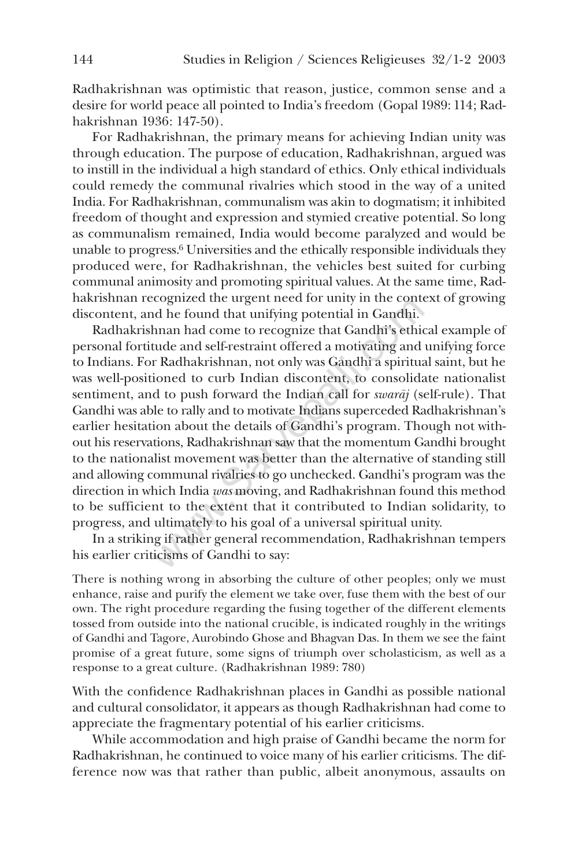Radhakrishnan was optimistic that reason, justice, common sense and a desire for world peace all pointed to India's freedom (Gopal 1989: 114; Radhakrishnan 1936: 147-50).

For Radhakrishnan, the primary means for achieving Indian unity was through education. The purpose of education, Radhakrishnan, argued was to instill in the individual a high standard of ethics. Only ethical individuals could remedy the communal rivalries which stood in the way of a united India. For Radhakrishnan, communalism was akin to dogmatism; it inhibited freedom of thought and expression and stymied creative potential. So long as communalism remained, India would become paralyzed and would be unable to progress.6 Universities and the ethically responsible individuals they produced were, for Radhakrishnan, the vehicles best suited for curbing communal animosity and promoting spiritual values. At the same time, Radhakrishnan recognized the urgent need for unity in the context of growing discontent, and he found that unifying potential in Gandhi.

Radhakrishnan had come to recognize that Gandhi's ethical example of personal fortitude and self-restraint offered a motivating and unifying force to Indians. For Radhakrishnan, not only was Gandhi a spiritual saint, but he was well-positioned to curb Indian discontent, to consolidate nationalist sentiment, and to push forward the Indian call for *swaraj* (self-rule). That Gandhi was able to rally and to motivate Indians superceded Radhakrishnan's earlier hesitation about the details of Gandhi's program. Though not without his reservations, Radhakrishnan saw that the momentum Gandhi brought to the nationalist movement was better than the alternative of standing still and allowing communal rivalries to go unchecked. Gandhi's program was the direction in which India *was* moving, and Radhakrishnan found this method to be sufficient to the extent that it contributed to Indian solidarity, to progress, and ultimately to his goal of a universal spiritual unity. cognized the tigent heed for thinly in the control of the found that unifying potential in Gandhi.<br>
hnan had come to recognize that Gandhi's ethic<br>
tude and self-restraint offered a motivating and<br>
r Radhakrishnan, not on

In a striking if rather general recommendation, Radhakrishnan tempers his earlier criticisms of Gandhi to say:

There is nothing wrong in absorbing the culture of other peoples; only we must enhance, raise and purify the element we take over, fuse them with the best of our own. The right procedure regarding the fusing together of the different elements tossed from outside into the national crucible, is indicated roughly in the writings of Gandhi and Tagore, Aurobindo Ghose and Bhagvan Das. In them we see the faint promise of a great future, some signs of triumph over scholasticism, as well as a response to a great culture. (Radhakrishnan 1989: 780)

With the confidence Radhakrishnan places in Gandhi as possible national and cultural consolidator, it appears as though Radhakrishnan had come to appreciate the fragmentary potential of his earlier criticisms.

While accommodation and high praise of Gandhi became the norm for Radhakrishnan, he continued to voice many of his earlier criticisms. The difference now was that rather than public, albeit anonymous, assaults on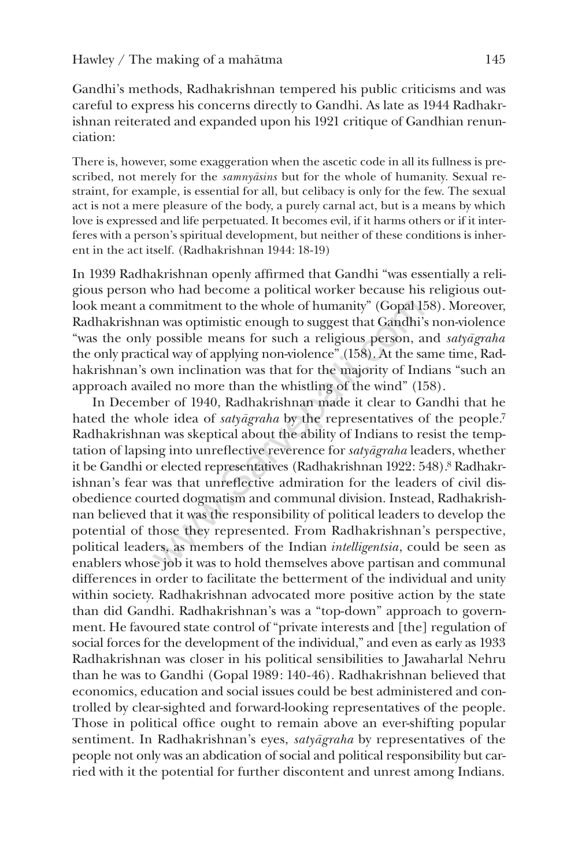Gandhi's methods, Radhakrishnan tempered his public criticisms and was careful to express his concerns directly to Gandhi. As late as 1944 Radhakrishnan reiterated and expanded upon his 1921 critique of Gandhian renunciation:

There is, however, some exaggeration when the ascetic code in all its fullness is prescribed, not merely for the *samnyasins* but for the whole of humanity. Sexual restraint, for example, is essential for all, but celibacy is only for the few. The sexual act is not a mere pleasure of the body, a purely carnal act, but is a means by which love is expressed and life perpetuated. It becomes evil, if it harms others or if it interferes with a person's spiritual development, but neither of these conditions is inherent in the act itself. (Radhakrishnan 1944: 18-19)

In 1939 Radhakrishnan openly affirmed that Gandhi "was essentially a religious person who had become a political worker because his religious outlook meant a commitment to the whole of humanity" (Gopal 158). Moreover, Radhakrishnan was optimistic enough to suggest that Gandhi's non-violence "was the only possible means for such a religious person, and *satyãgraha* the only practical way of applying non-violence" (158). At the same time, Radhakrishnan's own inclination was that for the majority of Indians "such an approach availed no more than the whistling of the wind" (158).

In December of 1940, Radhakrishnan made it clear to Gandhi that he hated the whole idea of *satyãgraha* by the representatives of the people.<sup>7</sup> Radhakrishnan was skeptical about the ability of Indians to resist the temptation of lapsing into unreflective reverence for *satyãgraha* leaders, whether it be Gandhi or elected representatives (Radhakrishnan 1922: 548).<sup>8</sup> Radhakrishnan's fear was that unreflective admiration for the leaders of civil disobedience courted dogmatism and communal division. Instead, Radhakrishnan believed that it was the responsibility of political leaders to develop the potential of those they represented. From Radhakrishnan's perspective, political leaders, as members of the Indian *intelligentsia*, could be seen as enablers whose job it was to hold themselves above partisan and communal differences in order to facilitate the betterment of the individual and unity within society. Radhakrishnan advocated more positive action by the state than did Gandhi. Radhakrishnan's was a "top-down" approach to government. He favoured state control of "private interests and [the] regulation of social forces for the development of the individual," and even as early as 1933 Radhakrishnan was closer in his political sensibilities to Jawaharlal Nehru than he was to Gandhi (Gopal 1989: 140-46). Radhakrishnan believed that economics, education and social issues could be best administered and controlled by clear-sighted and forward-looking representatives of the people. Those in political office ought to remain above an ever-shifting popular sentiment. In Radhakrishnan's eyes, *satyāgraha* by representatives of the people not only was an abdication of social and political responsibility but carried with it the potential for further discontent and unrest among Indians. commitment to the whole of humanity" (Gopal 1:<br>n was optimistic enough to suggest that Gandhi';<br>possible means for such a religious person, a<br>ical way of applying non-violence" (158). At the sa<br>own inclination was that for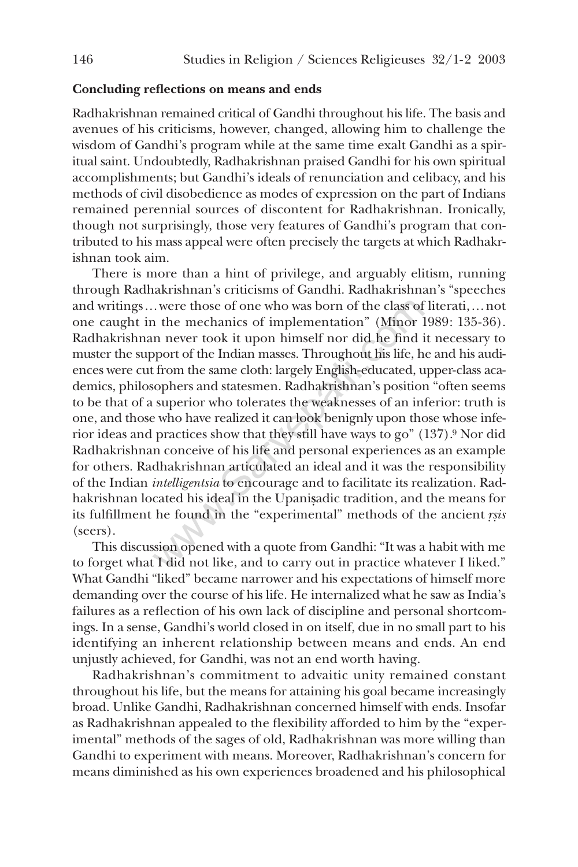#### **Concluding reflections on means and ends**

Radhakrishnan remained critical of Gandhi throughout his life. The basis and avenues of his criticisms, however, changed, allowing him to challenge the wisdom of Gandhi's program while at the same time exalt Gandhi as a spiritual saint. Undoubtedly, Radhakrishnan praised Gandhi for his own spiritual accomplishments; but Gandhi's ideals of renunciation and celibacy, and his methods of civil disobedience as modes of expression on the part of Indians remained perennial sources of discontent for Radhakrishnan. Ironically, though not surprisingly, those very features of Gandhi's program that contributed to his mass appeal were often precisely the targets at which Radhakrishnan took aim.

There is more than a hint of privilege, and arguably elitism, running through Radhakrishnan's criticisms of Gandhi. Radhakrishnan's "speeches and writings…were those of one who was born of the class of literati,…not one caught in the mechanics of implementation" (Minor 1989: 135-36). Radhakrishnan never took it upon himself nor did he find it necessary to muster the support of the Indian masses. Throughout his life, he and his audiences were cut from the same cloth: largely English-educated, upper-class academics, philosophers and statesmen. Radhakrishnan's position "often seems to be that of a superior who tolerates the weaknesses of an inferior: truth is one, and those who have realized it can look benignly upon those whose inferior ideas and practices show that they still have ways to go" (137).9 Nor did Radhakrishnan conceive of his life and personal experiences as an example for others. Radhakrishnan articulated an ideal and it was the responsibility of the Indian *intelligentsia* to encourage and to facilitate its realization. Radhakrishnan located his ideal in the Upanisadic tradition, and the means for its fulfillment he found in the "experimental" methods of the ancient *r ·s · is* (seers). were those of one who was born of the class of<br>a the mechanics of implementation" (Minor 1<br>n never took it upon himself nor did he find i<br>pport of the Indian masses. Throughout his life, h<br>from the same cloth: largely Eng

This discussion opened with a quote from Gandhi: "It was a habit with me to forget what I did not like, and to carry out in practice whatever I liked." What Gandhi "liked" became narrower and his expectations of himself more demanding over the course of his life. He internalized what he saw as India's failures as a reflection of his own lack of discipline and personal shortcomings. In a sense, Gandhi's world closed in on itself, due in no small part to his identifying an inherent relationship between means and ends. An end unjustly achieved, for Gandhi, was not an end worth having.

Radhakrishnan's commitment to advaitic unity remained constant throughout his life, but the means for attaining his goal became increasingly broad. Unlike Gandhi, Radhakrishnan concerned himself with ends. Insofar as Radhakrishnan appealed to the flexibility afforded to him by the "experimental" methods of the sages of old, Radhakrishnan was more willing than Gandhi to experiment with means. Moreover, Radhakrishnan's concern for means diminished as his own experiences broadened and his philosophical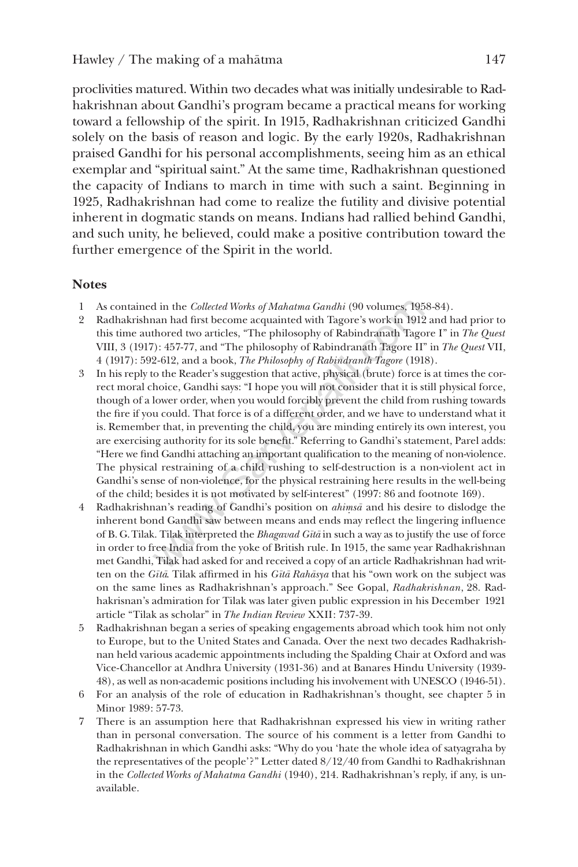proclivities matured. Within two decades what was initially undesirable to Radhakrishnan about Gandhi's program became a practical means for working toward a fellowship of the spirit. In 1915, Radhakrishnan criticized Gandhi solely on the basis of reason and logic. By the early 1920s, Radhakrishnan praised Gandhi for his personal accomplishments, seeing him as an ethical exemplar and "spiritual saint." At the same time, Radhakrishnan questioned the capacity of Indians to march in time with such a saint. Beginning in 1925, Radhakrishnan had come to realize the futility and divisive potential inherent in dogmatic stands on means. Indians had rallied behind Gandhi, and such unity, he believed, could make a positive contribution toward the further emergence of the Spirit in the world.

# **Notes**

- 1 As contained in the *Collected Works of Mahatma Gandhi* (90 volumes, 1958-84).
- 2 Radhakrishnan had first become acquainted with Tagore's work in 1912 and had prior to this time authored two articles, "The philosophy of Rabindranath Tagore I" in *The Quest* VIII, 3 (1917): 457-77, and "The philosophy of Rabindranath Tagore II" in*The Quest* VII, 4 (1917): 592-612, and a book,*The Philosophy of Rabindranth Tagore* (1918).
- 3 In his reply to the Reader's suggestion that active, physical (brute) force is at times the correct moral choice, Gandhi says: "I hope you will not consider that it is still physical force, though of a lower order, when you would forcibly prevent the child from rushing towards the fire if you could. That force is of a different order, and we have to understand what it is. Remember that, in preventing the child, you are minding entirely its own interest, you are exercising authority for its sole benefit." Referring to Gandhi's statement, Parel adds: "Here we find Gandhi attaching an important qualification to the meaning of non-violence. The physical restraining of a child rushing to self-destruction is a non-violent act in Gandhi's sense of non-violence, for the physical restraining here results in the well-being of the child; besides it is not motivated by self-interest" (1997: 86 and footnote 169). d in the *Collected Works of Mahatma Gandhi* (90 volumes, 195<br>nan had first become acquainted with Tagore's work in 1912<br>thored two articles, "The philosophy of Rabindranath Tagore II'<br>2-612, and a book, *The Philosophy o*
- 4 Radhakrishnan's reading of Gandhi's position on *ahimsa* and his desire to dislodge the inherent bond Gandhi saw between means and ends may reflect the lingering influence of B. G. Tilak. Tilak interpreted the *Bhagavad Gītā* in such a way as to justify the use of force in order to free India from the yoke of British rule. In 1915, the same year Radhakrishnan met Gandhi, Tilak had asked for and received a copy of an article Radhakrishnan had written on the *Gītā*. Tilak affirmed in his *Gītā Rahāsya* that his "own work on the subject was on the same lines as Radhakrishnan's approach." See Gopal, *Radhakrishnan*, 28. Radhakrisnan's admiration for Tilak was later given public expression in his December 1921 article "Tilak as scholar" in *The Indian Review* XXII: 737-39.
- 5 Radhakrishnan began a series of speaking engagements abroad which took him not only to Europe, but to the United States and Canada. Over the next two decades Radhakrishnan held various academic appointments including the Spalding Chair at Oxford and was Vice-Chancellor at Andhra University (1931-36) and at Banares Hindu University (1939- 48), as well as non-academic positions including his involvement with UNESCO (1946-51).
- 6 For an analysis of the role of education in Radhakrishnan's thought, see chapter 5 in Minor 1989: 57-73.
- 7 There is an assumption here that Radhakrishnan expressed his view in writing rather than in personal conversation. The source of his comment is a letter from Gandhi to Radhakrishnan in which Gandhi asks: "Why do you 'hate the whole idea of satyagraha by the representatives of the people'?" Letter dated 8/12/40 from Gandhi to Radhakrishnan in the *Collected Works of Mahatma Gandhi* (1940), 214. Radhakrishnan's reply, if any, is unavailable.